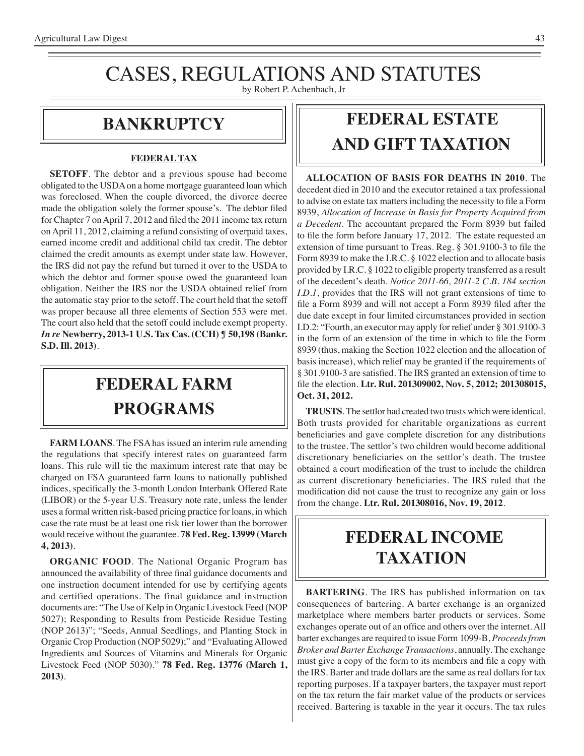### CASES, REGULATIONS AND STATUTES by Robert P. Achenbach, Jr

### **bankruptcy**

#### **FEDERAL TAX**

**SETOFF**. The debtor and a previous spouse had become obligated to the USDA on a home mortgage guaranteed loan which was foreclosed. When the couple divorced, the divorce decree made the obligation solely the former spouse's. The debtor filed for Chapter 7 on April 7, 2012 and filed the 2011 income tax return on April 11, 2012, claiming a refund consisting of overpaid taxes, earned income credit and additional child tax credit. The debtor claimed the credit amounts as exempt under state law. However, the IRS did not pay the refund but turned it over to the USDA to which the debtor and former spouse owed the guaranteed loan obligation. Neither the IRS nor the USDA obtained relief from the automatic stay prior to the setoff. The court held that the setoff was proper because all three elements of Section 553 were met. The court also held that the setoff could include exempt property. *In re* **Newberry, 2013-1 U.S. Tax Cas. (CCH) ¶ 50,198 (Bankr. S.D. Ill. 2013)**.

## **FEDERAL Farm programs**

**FARM LOANS**. The FSA has issued an interim rule amending the regulations that specify interest rates on guaranteed farm loans. This rule will tie the maximum interest rate that may be charged on FSA guaranteed farm loans to nationally published indices, specifically the 3-month London Interbank Offered Rate (LIBOR) or the 5-year U.S. Treasury note rate, unless the lender uses a formal written risk-based pricing practice for loans, in which case the rate must be at least one risk tier lower than the borrower would receive without the guarantee. **78 Fed. Reg. 13999 (March 4, 2013)**.

**ORGANIC FOOD**. The National Organic Program has announced the availability of three final guidance documents and one instruction document intended for use by certifying agents and certified operations. The final guidance and instruction documents are: "The Use of Kelp in Organic Livestock Feed (NOP 5027); Responding to Results from Pesticide Residue Testing (NOP 2613)"; "Seeds, Annual Seedlings, and Planting Stock in Organic Crop Production (NOP 5029);" and "Evaluating Allowed Ingredients and Sources of Vitamins and Minerals for Organic Livestock Feed (NOP 5030)." **78 Fed. Reg. 13776 (March 1, 2013)**.

## **FEDERAL ESTATE AND GIFT taxation**

**ALLOCATION OF BASIS FOR DEATHS IN 2010**. The decedent died in 2010 and the executor retained a tax professional to advise on estate tax mattersincluding the necessity to file a Form 8939, *Allocation of Increase in Basis for Property Acquired from a Decedent*. The accountant prepared the Form 8939 but failed to file the form before January 17, 2012. The estate requested an extension of time pursuant to Treas. Reg. § 301.9100-3 to file the Form 8939 to make the I.R.C. § 1022 election and to allocate basis provided by I.R.C. § 1022 to eligible property transferred as a result of the decedent's death. *Notice 2011-66, 2011-2 C.B. 184 section I.D.1*, provides that the IRS will not grant extensions of time to file a Form 8939 and will not accept a Form 8939 filed after the due date except in four limited circumstances provided in section I.D.2: "Fourth, an executor may apply for relief under § 301.9100-3 in the form of an extension of the time in which to file the Form 8939 (thus, making the Section 1022 election and the allocation of basis increase), which relief may be granted if the requirements of § 301.9100-3 are satisfied. The IRS granted an extension of time to file the election. **Ltr. Rul. 201309002, Nov. 5, 2012; 201308015, Oct. 31, 2012.**

**TRUSTS**. The settlor had created two trusts which were identical. Both trusts provided for charitable organizations as current beneficiaries and gave complete discretion for any distributions to the trustee. The settlor's two children would become additional discretionary beneficiaries on the settlor's death. The trustee obtained a court modification of the trust to include the children as current discretionary beneficiaries. The IRS ruled that the modification did not cause the trust to recognize any gain or loss from the change. **Ltr. Rul. 201308016, Nov. 19, 2012**.

## **federal income TAXATION**

**BARTERING**. The IRS has published information on tax consequences of bartering. A barter exchange is an organized marketplace where members barter products or services. Some exchanges operate out of an office and others over the internet. All barter exchanges are required to issue Form 1099-B, *Proceeds from Broker and Barter Exchange Transactions*, annually. The exchange must give a copy of the form to its members and file a copy with the IRS. Barter and trade dollars are the same as real dollars for tax reporting purposes. If a taxpayer barters, the taxpayer must report on the tax return the fair market value of the products or services received. Bartering is taxable in the year it occurs. The tax rules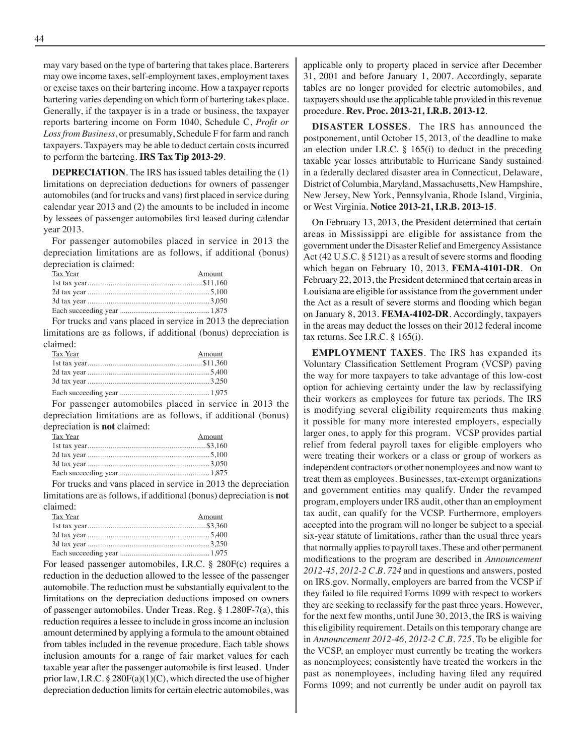may vary based on the type of bartering that takes place. Barterers may owe income taxes, self-employment taxes, employment taxes or excise taxes on their bartering income. How a taxpayer reports bartering varies depending on which form of bartering takes place. Generally, if the taxpayer is in a trade or business, the taxpayer reports bartering income on Form 1040, Schedule C, *Profit or Loss from Business*, or presumably, Schedule F for farm and ranch taxpayers. Taxpayers may be able to deduct certain costs incurred to perform the bartering. **IRS Tax Tip 2013-29**.

**DEPRECIATION**. The IRS has issued tables detailing the (1) limitations on depreciation deductions for owners of passenger automobiles(and for trucks and vans) first placed in service during calendar year 2013 and (2) the amounts to be included in income by lessees of passenger automobiles first leased during calendar year 2013.

For passenger automobiles placed in service in 2013 the depreciation limitations are as follows, if additional (bonus) depreciation is claimed:

| Tax Year | Amount |
|----------|--------|
|          |        |
|          |        |
|          |        |
|          |        |
|          |        |

For trucks and vans placed in service in 2013 the depreciation limitations are as follows, if additional (bonus) depreciation is claimed:

| Tax Year | Amount |
|----------|--------|
|          |        |
|          |        |
|          |        |
|          |        |

For passenger automobiles placed in service in 2013 the depreciation limitations are as follows, if additional (bonus) depreciation is **not** claimed:

| Tax Year | Amount |
|----------|--------|
|          |        |
|          |        |
|          |        |
|          |        |
|          |        |

For trucks and vans placed in service in 2013 the depreciation limitations are as follows, if additional (bonus) depreciation is **not** claimed:

| Tax Year | Amount |
|----------|--------|
|          |        |
|          |        |
|          |        |
|          |        |

For leased passenger automobiles, I.R.C. § 280F(c) requires a reduction in the deduction allowed to the lessee of the passenger automobile. The reduction must be substantially equivalent to the limitations on the depreciation deductions imposed on owners of passenger automobiles. Under Treas. Reg. § 1.280F-7(a), this reduction requires a lessee to include in gross income an inclusion amount determined by applying a formula to the amount obtained from tables included in the revenue procedure. Each table shows inclusion amounts for a range of fair market values for each taxable year after the passenger automobile is first leased. Under prior law, I.R.C.  $\S 280F(a)(1)(C)$ , which directed the use of higher depreciation deduction limits for certain electric automobiles, was applicable only to property placed in service after December 31, 2001 and before January 1, 2007. Accordingly, separate tables are no longer provided for electric automobiles, and taxpayers should use the applicable table provided in this revenue procedure. **Rev. Proc. 2013-21, I.R.B. 2013-12**.

**DISASTER LOSSES**. The IRS has announced the postponement, until October 15, 2013, of the deadline to make an election under I.R.C.  $\S$  165(i) to deduct in the preceding taxable year losses attributable to Hurricane Sandy sustained in a federally declared disaster area in Connecticut, Delaware, District of Columbia, Maryland, Massachusetts, New Hampshire, New Jersey, New York, Pennsylvania, Rhode Island, Virginia, or West Virginia. **Notice 2013-21, I.R.B. 2013-15**.

On February 13, 2013, the President determined that certain areas in Mississippi are eligible for assistance from the government under the Disaster Relief and Emergency Assistance Act (42 U.S.C. § 5121) as a result of severe storms and flooding which began on February 10, 2013. **FEMA-4101-DR**. On February 22, 2013, the President determined that certain areas in Louisiana are eligible for assistance from the government under the Act as a result of severe storms and flooding which began on January 8, 2013. **FEMA-4102-DR**. Accordingly, taxpayers in the areas may deduct the losses on their 2012 federal income tax returns. See I.R.C. § 165(i).

**EMPLOYMENT TAXES**. The IRS has expanded its Voluntary Classification Settlement Program (VCSP) paving the way for more taxpayers to take advantage of this low-cost option for achieving certainty under the law by reclassifying their workers as employees for future tax periods. The IRS is modifying several eligibility requirements thus making it possible for many more interested employers, especially larger ones, to apply for this program. VCSP provides partial relief from federal payroll taxes for eligible employers who were treating their workers or a class or group of workers as independent contractors or other nonemployees and now want to treat them as employees. Businesses, tax-exempt organizations and government entities may qualify. Under the revamped program, employers under IRS audit, other than an employment tax audit, can qualify for the VCSP. Furthermore, employers accepted into the program will no longer be subject to a special six-year statute of limitations, rather than the usual three years that normally applies to payroll taxes. These and other permanent modifications to the program are described in *Announcement 2012-45, 2012-2 C.B. 724* and in questions and answers, posted on IRS.gov. Normally, employers are barred from the VCSP if they failed to file required Forms 1099 with respect to workers they are seeking to reclassify for the past three years. However, for the next few months, until June 30, 2013, the IRS is waiving this eligibility requirement. Details on this temporary change are in *Announcement 2012-46, 2012-2 C.B. 725*. To be eligible for the VCSP, an employer must currently be treating the workers as nonemployees; consistently have treated the workers in the past as nonemployees, including having filed any required Forms 1099; and not currently be under audit on payroll tax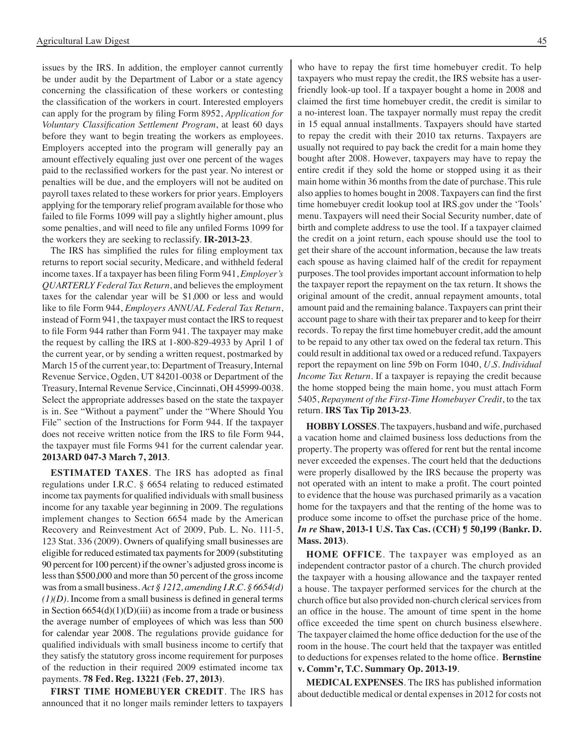issues by the IRS. In addition, the employer cannot currently be under audit by the Department of Labor or a state agency concerning the classification of these workers or contesting the classification of the workers in court. Interested employers can apply for the program by filing Form 8952, *Application for Voluntary Classification Settlement Program*, at least 60 days before they want to begin treating the workers as employees. Employers accepted into the program will generally pay an amount effectively equaling just over one percent of the wages paid to the reclassified workers for the past year. No interest or penalties will be due, and the employers will not be audited on payroll taxes related to these workers for prior years. Employers applying for the temporary relief program available for those who failed to file Forms 1099 will pay a slightly higher amount, plus some penalties, and will need to file any unfiled Forms 1099 for the workers they are seeking to reclassify. **IR-2013-23**.

 The IRS has simplified the rules for filing employment tax returns to report social security, Medicare, and withheld federal income taxes. If a taxpayer has been filing Form 941, *Employer's QUARTERLY Federal Tax Return*, and believes the employment taxes for the calendar year will be \$1,000 or less and would like to file Form 944, *Employers ANNUAL Federal Tax Return*, instead of Form 941, the taxpayer must contact the IRS to request to file Form 944 rather than Form 941. The taxpayer may make the request by calling the IRS at 1-800-829-4933 by April 1 of the current year, or by sending a written request, postmarked by March 15 of the current year, to: Department of Treasury, Internal Revenue Service, Ogden, UT 84201-0038 or Department of the Treasury, Internal Revenue Service, Cincinnati, OH 45999-0038. Select the appropriate addresses based on the state the taxpayer is in. See "Without a payment" under the "Where Should You File" section of the Instructions for Form 944. If the taxpayer does not receive written notice from the IRS to file Form 944, the taxpayer must file Forms 941 for the current calendar year. **2013ARD 047-3 March 7, 2013**.

**ESTIMATED TAXES**. The IRS has adopted as final regulations under I.R.C. § 6654 relating to reduced estimated income tax payments for qualified individuals with small business income for any taxable year beginning in 2009. The regulations implement changes to Section 6654 made by the American Recovery and Reinvestment Act of 2009, Pub. L. No. 111-5, 123 Stat. 336 (2009). Owners of qualifying small businesses are eligible for reduced estimated tax payments for 2009 (substituting 90 percent for 100 percent) if the owner's adjusted gross income is less than \$500,000 and more than 50 percent of the gross income was from a small business. *Act § 1212, amending I.R.C. § 6654(d) (1)(D).* Income from a small business is defined in general terms in Section  $6654(d)(1)(D)(iii)$  as income from a trade or business the average number of employees of which was less than 500 for calendar year 2008. The regulations provide guidance for qualified individuals with small business income to certify that they satisfy the statutory gross income requirement for purposes of the reduction in their required 2009 estimated income tax payments. **78 Fed. Reg. 13221 (Feb. 27, 2013)**.

**FIRST TIME HOMEBUYER CREDIT**. The IRS has announced that it no longer mails reminder letters to taxpayers who have to repay the first time homebuyer credit. To help taxpayers who must repay the credit, the IRS website has a userfriendly look-up tool. If a taxpayer bought a home in 2008 and claimed the first time homebuyer credit, the credit is similar to a no-interest loan. The taxpayer normally must repay the credit in 15 equal annual installments. Taxpayers should have started to repay the credit with their 2010 tax returns. Taxpayers are usually not required to pay back the credit for a main home they bought after 2008. However, taxpayers may have to repay the entire credit if they sold the home or stopped using it as their main home within 36 months from the date of purchase. This rule also applies to homes bought in 2008. Taxpayers can find the first time homebuyer credit lookup tool at IRS.gov under the 'Tools' menu. Taxpayers will need their Social Security number, date of birth and complete address to use the tool. If a taxpayer claimed the credit on a joint return, each spouse should use the tool to get their share of the account information, because the law treats each spouse as having claimed half of the credit for repayment purposes. The tool provides important account information to help the taxpayer report the repayment on the tax return. It shows the original amount of the credit, annual repayment amounts, total amount paid and the remaining balance. Taxpayers can print their account page to share with their tax preparer and to keep for theirr records. To repay the first time homebuyer credit, add the amount to be repaid to any other tax owed on the federal tax return. This could result in additional tax owed or a reduced refund. Taxpayers report the repayment on line 59b on Form 1040, *U.S. Individual Income Tax Return*. If a taxpayer is repaying the credit because the home stopped being the main home, you must attach Form 5405, *Repayment of the First-Time Homebuyer Credit*, to the tax return. **IRS Tax Tip 2013-23**.

**HOBBY LOSSES**. The taxpayers, husband and wife, purchased a vacation home and claimed business loss deductions from the property. The property was offered for rent but the rental income never exceeded the expenses. The court held that the deductions were properly disallowed by the IRS because the property was not operated with an intent to make a profit. The court pointed to evidence that the house was purchased primarily as a vacation home for the taxpayers and that the renting of the home was to produce some income to offset the purchase price of the home. *In re* **Shaw, 2013-1 U.S. Tax Cas. (CCH) ¶ 50,199 (Bankr. D. Mass. 2013)**.

**HOME OFFICE**. The taxpayer was employed as an independent contractor pastor of a church. The church provided the taxpayer with a housing allowance and the taxpayer rented a house. The taxpayer performed services for the church at the church office but also provided non-church clerical services from an office in the house. The amount of time spent in the home office exceeded the time spent on church business elsewhere. The taxpayer claimed the home office deduction for the use of the room in the house. The court held that the taxpayer was entitled to deductions for expenses related to the home office. **Bernstine v. Comm'r, T.C. Summary Op. 2013-19**.

**MEDICAL EXPENSES**. The IRS has published information about deductible medical or dental expenses in 2012 for costs not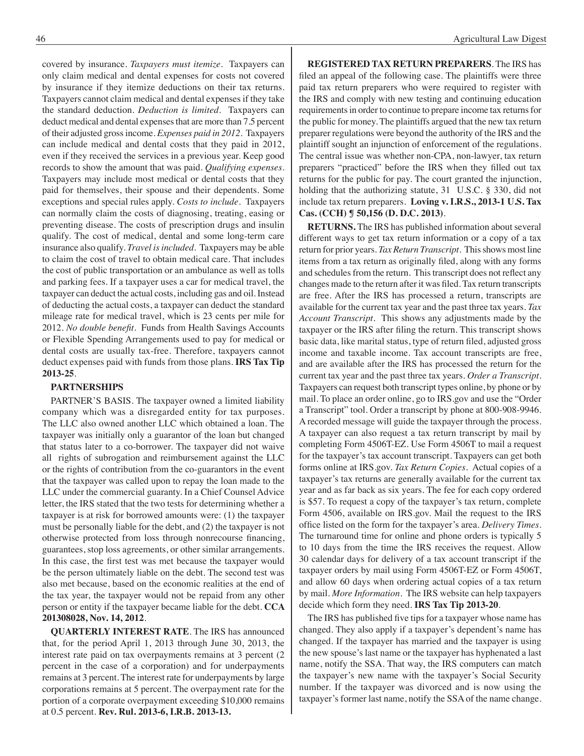covered by insurance. *Taxpayers must itemize*. Taxpayers can only claim medical and dental expenses for costs not covered by insurance if they itemize deductions on their tax returns. Taxpayers cannot claim medical and dental expenses if they take the standard deduction. *Deduction is limited*. Taxpayers can deduct medical and dental expenses that are more than 7.5 percent of their adjusted gross income. *Expenses paid in 2012*. Taxpayers can include medical and dental costs that they paid in 2012, even if they received the services in a previous year. Keep good records to show the amount that was paid. *Qualifying expenses*. Taxpayers may include most medical or dental costs that they paid for themselves, their spouse and their dependents. Some exceptions and special rules apply. *Costs to include*. Taxpayers can normally claim the costs of diagnosing, treating, easing or preventing disease. The costs of prescription drugs and insulin qualify. The cost of medical, dental and some long-term care insurance also qualify. *Travel is included*. Taxpayers may be able to claim the cost of travel to obtain medical care. That includes the cost of public transportation or an ambulance as well as tolls and parking fees. If a taxpayer uses a car for medical travel, the taxpayer can deduct the actual costs, including gas and oil. Instead of deducting the actual costs, a taxpayer can deduct the standard mileage rate for medical travel, which is 23 cents per mile for 2012. *No double benefit*. Funds from Health Savings Accounts or Flexible Spending Arrangements used to pay for medical or dental costs are usually tax-free. Therefore, taxpayers cannot deduct expenses paid with funds from those plans. **IRS Tax Tip 2013-25**.

#### **PARTNERSHIPS**

PARTNER'S BASIS. The taxpayer owned a limited liability company which was a disregarded entity for tax purposes. The LLC also owned another LLC which obtained a loan. The taxpayer was initially only a guarantor of the loan but changed that status later to a co-borrower. The taxpayer did not waive all rights of subrogation and reimbursement against the LLC or the rights of contribution from the co-guarantors in the event that the taxpayer was called upon to repay the loan made to the LLC under the commercial guaranty. In a Chief Counsel Advice letter, the IRS stated that the two tests for determining whether a taxpayer is at risk for borrowed amounts were: (1) the taxpayer must be personally liable for the debt, and (2) the taxpayer is not otherwise protected from loss through nonrecourse financing, guarantees, stop loss agreements, or other similar arrangements. In this case, the first test was met because the taxpayer would be the person ultimately liable on the debt. The second test was also met because, based on the economic realities at the end of the tax year, the taxpayer would not be repaid from any other person or entity if the taxpayer became liable for the debt. **CCA 201308028, Nov. 14, 2012**.

**QUARTERLY INTEREST RATE**. The IRS has announced that, for the period April 1, 2013 through June 30, 2013, the interest rate paid on tax overpayments remains at 3 percent (2 percent in the case of a corporation) and for underpayments remains at 3 percent. The interest rate for underpayments by large corporations remains at 5 percent. The overpayment rate for the portion of a corporate overpayment exceeding \$10,000 remains at 0.5 percent. **Rev. Rul. 2013-6, I.R.B. 2013-13.**

**REGISTERED TAX RETURN PREPARERS**. The IRS has filed an appeal of the following case. The plaintiffs were three paid tax return preparers who were required to register with the IRS and comply with new testing and continuing education requirements in order to continue to prepare income tax returns for the public for money. The plaintiffs argued that the new tax return preparer regulations were beyond the authority of the IRS and the plaintiff sought an injunction of enforcement of the regulations. The central issue was whether non-CPA, non-lawyer, tax return preparers "practiced" before the IRS when they filled out tax returns for the public for pay. The court granted the injunction, holding that the authorizing statute, 31 U.S.C. § 330, did not include tax return preparers. **Loving v. I.R.S., 2013-1 U.S. Tax Cas. (CCH) ¶ 50,156 (D. D.C. 2013)**.

**RETURNS.** The IRS has published information about several different ways to get tax return information or a copy of a tax return for prior years. *Tax Return Transcript*. This shows most line items from a tax return as originally filed, along with any forms and schedules from the return. This transcript does not reflect any changes made to the return after it was filed. Tax return transcripts are free. After the IRS has processed a return, transcripts are available for the current tax year and the past three tax years. *Tax Account Transcript*. This shows any adjustments made by the taxpayer or the IRS after filing the return. This transcript shows basic data, like marital status, type of return filed, adjusted gross income and taxable income. Tax account transcripts are free, and are available after the IRS has processed the return for the current tax year and the past three tax years. *Order a Transcript*. Taxpayers can request both transcript types online, by phone or by mail. To place an order online, go to IRS.gov and use the "Order a Transcript" tool. Order a transcript by phone at 800-908-9946. A recorded message will guide the taxpayer through the process. A taxpayer can also request a tax return transcript by mail by completing Form 4506T-EZ. Use Form 4506T to mail a request for the taxpayer's tax account transcript. Taxpayers can get both forms online at IRS.gov. *Tax Return Copies*. Actual copies of a taxpayer's tax returns are generally available for the current tax year and as far back as six years. The fee for each copy ordered is \$57. To request a copy of the taxpayer's tax return, complete Form 4506, available on IRS.gov. Mail the request to the IRS office listed on the form for the taxpayer's area. *Delivery Times*. The turnaround time for online and phone orders is typically 5 to 10 days from the time the IRS receives the request. Allow 30 calendar days for delivery of a tax account transcript if the taxpayer orders by mail using Form 4506T-EZ or Form 4506T, and allow 60 days when ordering actual copies of a tax return by mail. *More Information*. The IRS website can help taxpayers decide which form they need. **IRS Tax Tip 2013-20**.

The IRS has published five tips for a taxpayer whose name has changed. They also apply if a taxpayer's dependent's name has changed. If the taxpayer has married and the taxpayer is using the new spouse's last name or the taxpayer has hyphenated a last name, notify the SSA. That way, the IRS computers can match the taxpayer's new name with the taxpayer's Social Security number. If the taxpayer was divorced and is now using the taxpayer's former last name, notify the SSA of the name change.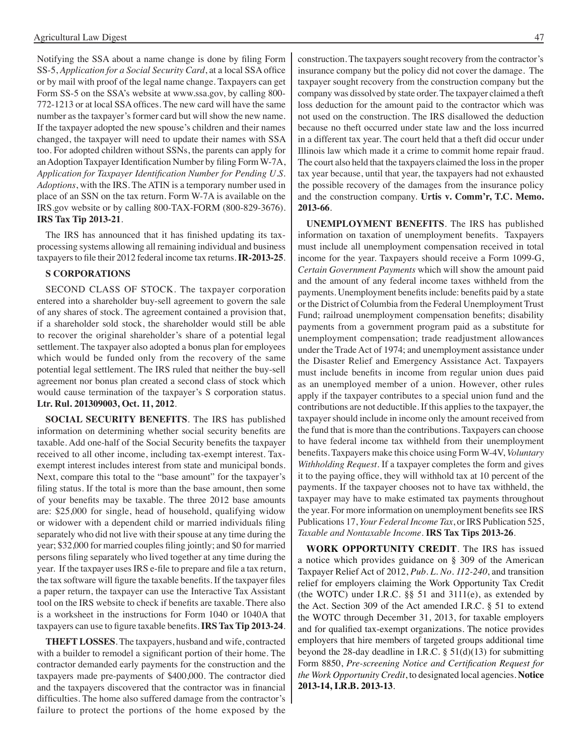Notifying the SSA about a name change is done by filing Form SS-5, *Application for a Social Security Card*, at a local SSA office or by mail with proof of the legal name change. Taxpayers can get Form SS-5 on the SSA's website at www.ssa.gov, by calling 800- 772-1213 or at local SSA offices. The new card will have the same number as the taxpayer's former card but will show the new name. If the taxpayer adopted the new spouse's children and their names changed, the taxpayer will need to update their names with SSA too. For adopted children without SSNs, the parents can apply for anAdoption Taxpayer Identification Number by filing Form W-7A, *Application for Taxpayer Identification Number for Pending U.S. Adoptions*, with the IRS. The ATIN is a temporary number used in place of an SSN on the tax return. Form W-7A is available on the IRS.gov website or by calling 800-TAX-FORM (800-829-3676). **IRS Tax Tip 2013-21**.

 The IRS has announced that it has finished updating its taxprocessing systems allowing all remaining individual and business taxpayers to file their 2012 federal income tax returns. **IR-2013-25**.

#### **S CORPORATIONS**

SECOND CLASS OF STOCK. The taxpayer corporation entered into a shareholder buy-sell agreement to govern the sale of any shares of stock. The agreement contained a provision that, if a shareholder sold stock, the shareholder would still be able to recover the original shareholder's share of a potential legal settlement. The taxpayer also adopted a bonus plan for employees which would be funded only from the recovery of the same potential legal settlement. The IRS ruled that neither the buy-sell agreement nor bonus plan created a second class of stock which would cause termination of the taxpayer's S corporation status. **Ltr. Rul. 201309003, Oct. 11, 2012**.

**SOCIAL SECURITY BENEFITS**. The IRS has published information on determining whether social security benefits are taxable. Add one-half of the Social Security benefits the taxpayer received to all other income, including tax-exempt interest. Taxexempt interest includes interest from state and municipal bonds. Next, compare this total to the "base amount" for the taxpayer's filing status. If the total is more than the base amount, then some of your benefits may be taxable. The three 2012 base amounts are: \$25,000 for single, head of household, qualifying widow or widower with a dependent child or married individuals filing separately who did not live with their spouse at any time during the year; \$32,000 for married couples filing jointly; and \$0 for married persons filing separately who lived together at any time during the year. If the taxpayer uses IRS e-file to prepare and file a tax return, the tax software will figure the taxable benefits. If the taxpayer files a paper return, the taxpayer can use the Interactive Tax Assistant tool on the IRS website to check if benefits are taxable. There also is a worksheet in the instructions for Form 1040 or 1040A that taxpayers can use to figure taxable benefits.**IRS Tax Tip 2013-24**.

**THEFT LOSSES**. The taxpayers, husband and wife, contracted with a builder to remodel a significant portion of their home. The contractor demanded early payments for the construction and the taxpayers made pre-payments of \$400,000. The contractor died and the taxpayers discovered that the contractor was in financial difficulties. The home also suffered damage from the contractor's failure to protect the portions of the home exposed by the

construction. The taxpayers sought recovery from the contractor's insurance company but the policy did not cover the damage. The taxpayer sought recovery from the construction company but the company was dissolved by state order. The taxpayer claimed a theft loss deduction for the amount paid to the contractor which was not used on the construction. The IRS disallowed the deduction because no theft occurred under state law and the loss incurred in a different tax year. The court held that a theft did occur under Illinois law which made it a crime to commit home repair fraud. The court also held that the taxpayers claimed the loss in the proper tax year because, until that year, the taxpayers had not exhausted the possible recovery of the damages from the insurance policy and the construction company. **Urtis v. Comm'r, T.C. Memo. 2013-66**.

**UNEMPLOYMENT BENEFITS**. The IRS has published information on taxation of unemployment benefits. Taxpayers must include all unemployment compensation received in total income for the year. Taxpayers should receive a Form 1099-G, *Certain Government Payments* which will show the amount paid and the amount of any federal income taxes withheld from the payments. Unemployment benefits include: benefits paid by a state or the District of Columbia from the Federal Unemployment Trust Fund; railroad unemployment compensation benefits; disability payments from a government program paid as a substitute for unemployment compensation; trade readjustment allowances under the Trade Act of 1974; and unemployment assistance under the Disaster Relief and Emergency Assistance Act. Taxpayers must include benefits in income from regular union dues paid as an unemployed member of a union. However, other rules apply if the taxpayer contributes to a special union fund and the contributions are not deductible. If this applies to the taxpayer, the taxpayer should include in income only the amount received from the fund that is more than the contributions. Taxpayers can choose to have federal income tax withheld from their unemployment benefits. Taxpayers make this choice using Form W-4V, *Voluntary Withholding Request*. If a taxpayer completes the form and gives it to the paying office, they will withhold tax at 10 percent of the payments. If the taxpayer chooses not to have tax withheld, the taxpayer may have to make estimated tax payments throughout the year. For more information on unemployment benefits see IRS Publications 17, *Your Federal Income Tax*, or IRS Publication 525, *Taxable and Nontaxable Income*. **IRS Tax Tips 2013-26**.

**WORK OPPORTUNITY CREDIT**. The IRS has issued a notice which provides guidance on § 309 of the American Taxpayer Relief Act of 2012, *Pub. L. No. 112-240*, and transition relief for employers claiming the Work Opportunity Tax Credit (the WOTC) under I.R.C.  $\S$ § 51 and 3111(e), as extended by the Act. Section 309 of the Act amended I.R.C. § 51 to extend the WOTC through December 31, 2013, for taxable employers and for qualified tax-exempt organizations. The notice provides employers that hire members of targeted groups additional time beyond the 28-day deadline in I.R.C. § 51(d)(13) for submitting Form 8850, *Pre-screening Notice and Certification Request for the Work Opportunity Credit*, to designated local agencies. **Notice 2013-14, I.R.B. 2013-13**.